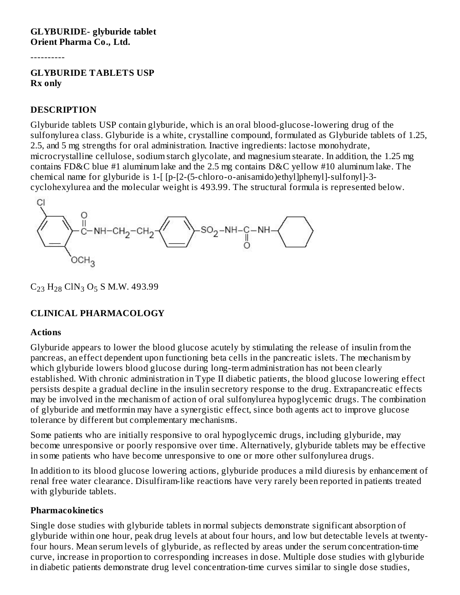#### **GLYBURIDE- glyburide tablet Orient Pharma Co., Ltd.**

----------

#### **GLYBURIDE TABLETS USP Rx only**

#### **DESCRIPTION**

Glyburide tablets USP contain glyburide, which is an oral blood-glucose-lowering drug of the sulfonylurea class. Glyburide is a white, crystalline compound, formulated as Glyburide tablets of 1.25, 2.5, and 5 mg strengths for oral administration. Inactive ingredients: lactose monohydrate, microcrystalline cellulose, sodium starch glycolate, and magnesium stearate. In addition, the 1.25 mg contains FD&C blue #1 aluminum lake and the 2.5 mg contains D&C yellow #10 aluminum lake. The chemical name for glyburide is 1-[ [p-[2-(5-chloro-o-anisamido)ethyl]phenyl]-sulfonyl]-3 cyclohexylurea and the molecular weight is 493.99. The structural formula is represented below.



 $C_{23}H_{28}$  ClN<sub>3</sub> O<sub>5</sub> S M.W. 493.99

## **CLINICAL PHARMACOLOGY**

#### **Actions**

Glyburide appears to lower the blood glucose acutely by stimulating the release of insulin from the pancreas, an effect dependent upon functioning beta cells in the pancreatic islets. The mechanism by which glyburide lowers blood glucose during long-term administration has not been clearly established. With chronic administration in Type II diabetic patients, the blood glucose lowering effect persists despite a gradual decline in the insulin secretory response to the drug. Extrapancreatic effects may be involved in the mechanism of action of oral sulfonylurea hypoglycemic drugs. The combination of glyburide and metformin may have a synergistic effect, since both agents act to improve glucose tolerance by different but complementary mechanisms.

Some patients who are initially responsive to oral hypoglycemic drugs, including glyburide, may become unresponsive or poorly responsive over time. Alternatively, glyburide tablets may be effective in some patients who have become unresponsive to one or more other sulfonylurea drugs.

In addition to its blood glucose lowering actions, glyburide produces a mild diuresis by enhancement of renal free water clearance. Disulfiram-like reactions have very rarely been reported in patients treated with glyburide tablets.

#### **Pharmacokinetics**

Single dose studies with glyburide tablets in normal subjects demonstrate significant absorption of glyburide within one hour, peak drug levels at about four hours, and low but detectable levels at twentyfour hours. Mean serum levels of glyburide, as reflected by areas under the serum concentration-time curve, increase in proportion to corresponding increases in dose. Multiple dose studies with glyburide in diabetic patients demonstrate drug level concentration-time curves similar to single dose studies,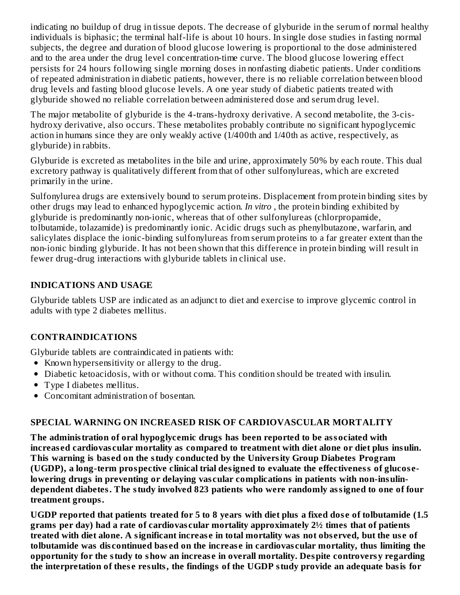indicating no buildup of drug in tissue depots. The decrease of glyburide in the serum of normal healthy individuals is biphasic; the terminal half-life is about 10 hours. In single dose studies in fasting normal subjects, the degree and duration of blood glucose lowering is proportional to the dose administered and to the area under the drug level concentration-time curve. The blood glucose lowering effect persists for 24 hours following single morning doses in nonfasting diabetic patients. Under conditions of repeated administration in diabetic patients, however, there is no reliable correlation between blood drug levels and fasting blood glucose levels. A one year study of diabetic patients treated with glyburide showed no reliable correlation between administered dose and serum drug level.

The major metabolite of glyburide is the 4-trans-hydroxy derivative. A second metabolite, the 3-cishydroxy derivative, also occurs. These metabolites probably contribute no significant hypoglycemic action in humans since they are only weakly active (1/400th and 1/40th as active, respectively, as glyburide) in rabbits.

Glyburide is excreted as metabolites in the bile and urine, approximately 50% by each route. This dual excretory pathway is qualitatively different from that of other sulfonylureas, which are excreted primarily in the urine.

Sulfonylurea drugs are extensively bound to serum proteins. Displacement from protein binding sites by other drugs may lead to enhanced hypoglycemic action. *In vitro* , the protein binding exhibited by glyburide is predominantly non-ionic, whereas that of other sulfonylureas (chlorpropamide, tolbutamide, tolazamide) is predominantly ionic. Acidic drugs such as phenylbutazone, warfarin, and salicylates displace the ionic-binding sulfonylureas from serum proteins to a far greater extent than the non-ionic binding glyburide. It has not been shown that this difference in protein binding will result in fewer drug-drug interactions with glyburide tablets in clinical use.

## **INDICATIONS AND USAGE**

Glyburide tablets USP are indicated as an adjunct to diet and exercise to improve glycemic control in adults with type 2 diabetes mellitus.

#### **CONTRAINDICATIONS**

Glyburide tablets are contraindicated in patients with:

- Known hypersensitivity or allergy to the drug.
- Diabetic ketoacidosis, with or without coma. This condition should be treated with insulin.
- Type I diabetes mellitus.
- Concomitant administration of bosentan.

#### **SPECIAL WARNING ON INCREASED RISK OF CARDIOVASCULAR MORTALITY**

**The administration of oral hypoglycemic drugs has been reported to be associated with increas ed cardiovas cular mortality as compared to treatment with diet alone or diet plus insulin. This warning is bas ed on the study conducted by the University Group Diabetes Program (UGDP), a long-term prospective clinical trial designed to evaluate the effectiveness of glucos elowering drugs in preventing or delaying vas cular complications in patients with non-insulindependent diabetes. The study involved 823 patients who were randomly assigned to one of four treatment groups.**

UGDP reported that patients treated for 5 to 8 years with diet plus a fixed dose of tolbutamide (1.5 **grams per day) had a rate of cardiovas cular mortality approximately 2½ times that of patients** treated with diet alone. A significant increase in total mortality was not observed, but the use of **tolbutamide was dis continued bas ed on the increas e in cardiovas cular mortality, thus limiting the opportunity for the study to show an increas e in overall mortality. Despite controversy regarding the interpretation of thes e results, the findings of the UGDP study provide an adequate basis for**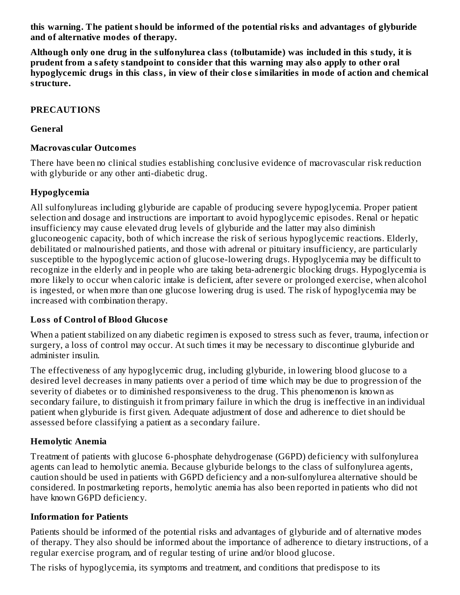**this warning. The patient should be informed of the potential risks and advantages of glyburide and of alternative modes of therapy.**

**Although only one drug in the sulfonylurea class (tolbutamide) was included in this study, it is prudent from a safety standpoint to consider that this warning may also apply to other oral** hypoglycemic drugs in this class, in view of their close similarities in mode of action and chemical **structure.**

#### **PRECAUTIONS**

## **General**

## **Macrovas cular Outcomes**

There have been no clinical studies establishing conclusive evidence of macrovascular risk reduction with glyburide or any other anti-diabetic drug.

# **Hypoglycemia**

All sulfonylureas including glyburide are capable of producing severe hypoglycemia. Proper patient selection and dosage and instructions are important to avoid hypoglycemic episodes. Renal or hepatic insufficiency may cause elevated drug levels of glyburide and the latter may also diminish gluconeogenic capacity, both of which increase the risk of serious hypoglycemic reactions. Elderly, debilitated or malnourished patients, and those with adrenal or pituitary insufficiency, are particularly susceptible to the hypoglycemic action of glucose-lowering drugs. Hypoglycemia may be difficult to recognize in the elderly and in people who are taking beta-adrenergic blocking drugs. Hypoglycemia is more likely to occur when caloric intake is deficient, after severe or prolonged exercise, when alcohol is ingested, or when more than one glucose lowering drug is used. The risk of hypoglycemia may be increased with combination therapy.

## **Loss of Control of Blood Glucos e**

When a patient stabilized on any diabetic regimen is exposed to stress such as fever, trauma, infection or surgery, a loss of control may occur. At such times it may be necessary to discontinue glyburide and administer insulin.

The effectiveness of any hypoglycemic drug, including glyburide, in lowering blood glucose to a desired level decreases in many patients over a period of time which may be due to progression of the severity of diabetes or to diminished responsiveness to the drug. This phenomenon is known as secondary failure, to distinguish it from primary failure in which the drug is ineffective in an individual patient when glyburide is first given. Adequate adjustment of dose and adherence to diet should be assessed before classifying a patient as a secondary failure.

## **Hemolytic Anemia**

Treatment of patients with glucose 6-phosphate dehydrogenase (G6PD) deficiency with sulfonylurea agents can lead to hemolytic anemia. Because glyburide belongs to the class of sulfonylurea agents, caution should be used in patients with G6PD deficiency and a non-sulfonylurea alternative should be considered. In postmarketing reports, hemolytic anemia has also been reported in patients who did not have known G6PD deficiency.

## **Information for Patients**

Patients should be informed of the potential risks and advantages of glyburide and of alternative modes of therapy. They also should be informed about the importance of adherence to dietary instructions, of a regular exercise program, and of regular testing of urine and/or blood glucose.

The risks of hypoglycemia, its symptoms and treatment, and conditions that predispose to its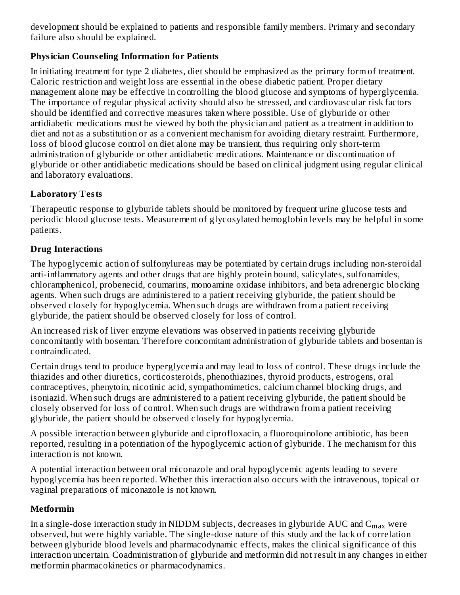development should be explained to patients and responsible family members. Primary and secondary failure also should be explained.

# **Physician Couns eling Information for Patients**

In initiating treatment for type 2 diabetes, diet should be emphasized as the primary form of treatment. Caloric restriction and weight loss are essential in the obese diabetic patient. Proper dietary management alone may be effective in controlling the blood glucose and symptoms of hyperglycemia. The importance of regular physical activity should also be stressed, and cardiovascular risk factors should be identified and corrective measures taken where possible. Use of glyburide or other antidiabetic medications must be viewed by both the physician and patient as a treatment in addition to diet and not as a substitution or as a convenient mechanism for avoiding dietary restraint. Furthermore, loss of blood glucose control on diet alone may be transient, thus requiring only short-term administration of glyburide or other antidiabetic medications. Maintenance or discontinuation of glyburide or other antidiabetic medications should be based on clinical judgment using regular clinical and laboratory evaluations.

# **Laboratory Tests**

Therapeutic response to glyburide tablets should be monitored by frequent urine glucose tests and periodic blood glucose tests. Measurement of glycosylated hemoglobin levels may be helpful in some patients.

## **Drug Interactions**

The hypoglycemic action of sulfonylureas may be potentiated by certain drugs including non-steroidal anti-inflammatory agents and other drugs that are highly protein bound, salicylates, sulfonamides, chloramphenicol, probenecid, coumarins, monoamine oxidase inhibitors, and beta adrenergic blocking agents. When such drugs are administered to a patient receiving glyburide, the patient should be observed closely for hypoglycemia. When such drugs are withdrawn from a patient receiving glyburide, the patient should be observed closely for loss of control.

An increased risk of liver enzyme elevations was observed in patients receiving glyburide concomitantly with bosentan. Therefore concomitant administration of glyburide tablets and bosentan is contraindicated.

Certain drugs tend to produce hyperglycemia and may lead to loss of control. These drugs include the thiazides and other diuretics, corticosteroids, phenothiazines, thyroid products, estrogens, oral contraceptives, phenytoin, nicotinic acid, sympathomimetics, calcium channel blocking drugs, and isoniazid. When such drugs are administered to a patient receiving glyburide, the patient should be closely observed for loss of control. When such drugs are withdrawn from a patient receiving glyburide, the patient should be observed closely for hypoglycemia.

A possible interaction between glyburide and ciprofloxacin, a fluoroquinolone antibiotic, has been reported, resulting in a potentiation of the hypoglycemic action of glyburide. The mechanism for this interaction is not known.

A potential interaction between oral miconazole and oral hypoglycemic agents leading to severe hypoglycemia has been reported. Whether this interaction also occurs with the intravenous, topical or vaginal preparations of miconazole is not known.

## **Metformin**

In a single-dose interaction study in NIDDM subjects, decreases in glyburide AUC and  $\mathsf{C}_{\max}$  were observed, but were highly variable. The single-dose nature of this study and the lack of correlation between glyburide blood levels and pharmacodynamic effects, makes the clinical significance of this interaction uncertain. Coadministration of glyburide and metformin did not result in any changes in either metformin pharmacokinetics or pharmacodynamics.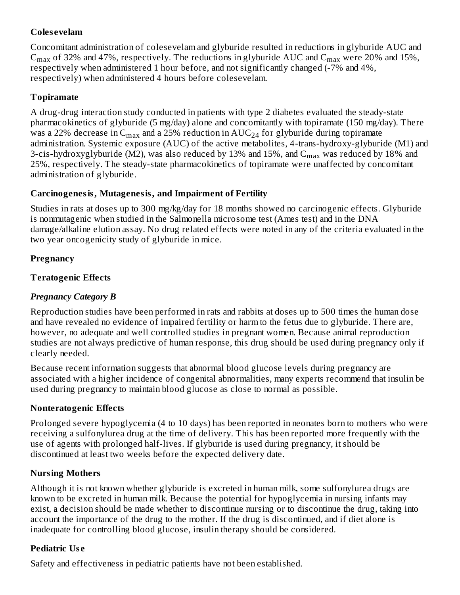## **Coles evelam**

Concomitant administration of colesevelam and glyburide resulted in reductions in glyburide AUC and  $\rm{C_{max}}$  of 32% and 47%, respectively. The reductions in glyburide AUC and  $\rm{C_{max}}$  were 20% and 15%, respectively when administered 1 hour before, and not significantly changed (-7% and 4%, respectively) when administered 4 hours before colesevelam.

## **Topiramate**

A drug-drug interaction study conducted in patients with type 2 diabetes evaluated the steady-state pharmacokinetics of glyburide (5 mg/day) alone and concomitantly with topiramate (150 mg/day). There was a 22% decrease in  $\rm{C_{max}}$  and a 25% reduction in  $\rm{AUC_{24}}$  for glyburide during topiramate administration. Systemic exposure (AUC) of the active metabolites, 4-trans-hydroxy-glyburide (M1) and 3-cis-hydroxyglyburide (M2), was also reduced by 13% and 15%, and  $\rm{C_{max}}$  was reduced by 18% and 25%, respectively. The steady-state pharmacokinetics of topiramate were unaffected by concomitant administration of glyburide.

## **Carcinogenesis, Mutagenesis, and Impairment of Fertility**

Studies in rats at doses up to 300 mg/kg/day for 18 months showed no carcinogenic effects. Glyburide is nonmutagenic when studied in the Salmonella microsome test (Ames test) and in the DNA damage/alkaline elution assay. No drug related effects were noted in any of the criteria evaluated in the two year oncogenicity study of glyburide in mice.

## **Pregnancy**

## **Teratogenic Effects**

## *Pregnancy Category B*

Reproduction studies have been performed in rats and rabbits at doses up to 500 times the human dose and have revealed no evidence of impaired fertility or harm to the fetus due to glyburide. There are, however, no adequate and well controlled studies in pregnant women. Because animal reproduction studies are not always predictive of human response, this drug should be used during pregnancy only if clearly needed.

Because recent information suggests that abnormal blood glucose levels during pregnancy are associated with a higher incidence of congenital abnormalities, many experts recommend that insulin be used during pregnancy to maintain blood glucose as close to normal as possible.

#### **Nonteratogenic Effects**

Prolonged severe hypoglycemia (4 to 10 days) has been reported in neonates born to mothers who were receiving a sulfonylurea drug at the time of delivery. This has been reported more frequently with the use of agents with prolonged half-lives. If glyburide is used during pregnancy, it should be discontinued at least two weeks before the expected delivery date.

## **Nursing Mothers**

Although it is not known whether glyburide is excreted in human milk, some sulfonylurea drugs are known to be excreted in human milk. Because the potential for hypoglycemia in nursing infants may exist, a decision should be made whether to discontinue nursing or to discontinue the drug, taking into account the importance of the drug to the mother. If the drug is discontinued, and if diet alone is inadequate for controlling blood glucose, insulin therapy should be considered.

#### **Pediatric Us e**

Safety and effectiveness in pediatric patients have not been established.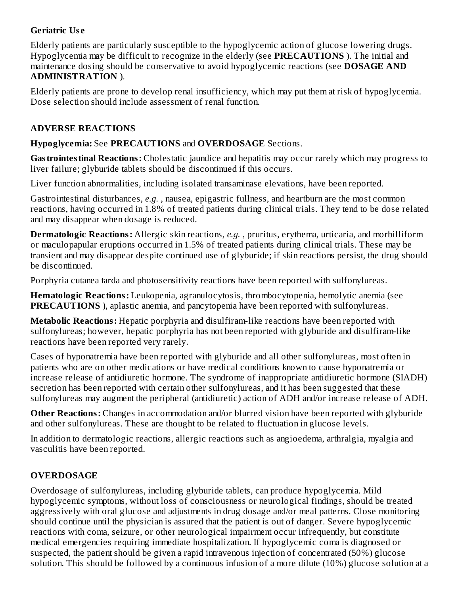## **Geriatric Us e**

Elderly patients are particularly susceptible to the hypoglycemic action of glucose lowering drugs. Hypoglycemia may be difficult to recognize in the elderly (see **PRECAUTIONS** ). The initial and maintenance dosing should be conservative to avoid hypoglycemic reactions (see **DOSAGE AND ADMINISTRATION** ).

Elderly patients are prone to develop renal insufficiency, which may put them at risk of hypoglycemia. Dose selection should include assessment of renal function.

# **ADVERSE REACTIONS**

## **Hypoglycemia:** See **PRECAUTIONS** and **OVERDOSAGE** Sections.

**Gastrointestinal Reactions:** Cholestatic jaundice and hepatitis may occur rarely which may progress to liver failure; glyburide tablets should be discontinued if this occurs.

Liver function abnormalities, including isolated transaminase elevations, have been reported.

Gastrointestinal disturbances, *e.g.* , nausea, epigastric fullness, and heartburn are the most common reactions, having occurred in 1.8% of treated patients during clinical trials. They tend to be dose related and may disappear when dosage is reduced.

**Dermatologic Reactions:** Allergic skin reactions, *e.g.* , pruritus, erythema, urticaria, and morbilliform or maculopapular eruptions occurred in 1.5% of treated patients during clinical trials. These may be transient and may disappear despite continued use of glyburide; if skin reactions persist, the drug should be discontinued.

Porphyria cutanea tarda and photosensitivity reactions have been reported with sulfonylureas.

**Hematologic Reactions:** Leukopenia, agranulocytosis, thrombocytopenia, hemolytic anemia (see **PRECAUTIONS** ), aplastic anemia, and pancytopenia have been reported with sulfonylureas.

**Metabolic Reactions:** Hepatic porphyria and disulfiram-like reactions have been reported with sulfonylureas; however, hepatic porphyria has not been reported with glyburide and disulfiram-like reactions have been reported very rarely.

Cases of hyponatremia have been reported with glyburide and all other sulfonylureas, most often in patients who are on other medications or have medical conditions known to cause hyponatremia or increase release of antidiuretic hormone. The syndrome of inappropriate antidiuretic hormone (SIADH) secretion has been reported with certain other sulfonylureas, and it has been suggested that these sulfonylureas may augment the peripheral (antidiuretic) action of ADH and/or increase release of ADH.

**Other Reactions:** Changes in accommodation and/or blurred vision have been reported with glyburide and other sulfonylureas. These are thought to be related to fluctuation in glucose levels.

In addition to dermatologic reactions, allergic reactions such as angioedema, arthralgia, myalgia and vasculitis have been reported.

# **OVERDOSAGE**

Overdosage of sulfonylureas, including glyburide tablets, can produce hypoglycemia. Mild hypoglycemic symptoms, without loss of consciousness or neurological findings, should be treated aggressively with oral glucose and adjustments in drug dosage and/or meal patterns. Close monitoring should continue until the physician is assured that the patient is out of danger. Severe hypoglycemic reactions with coma, seizure, or other neurological impairment occur infrequently, but constitute medical emergencies requiring immediate hospitalization. If hypoglycemic coma is diagnosed or suspected, the patient should be given a rapid intravenous injection of concentrated (50%) glucose solution. This should be followed by a continuous infusion of a more dilute (10%) glucose solution at a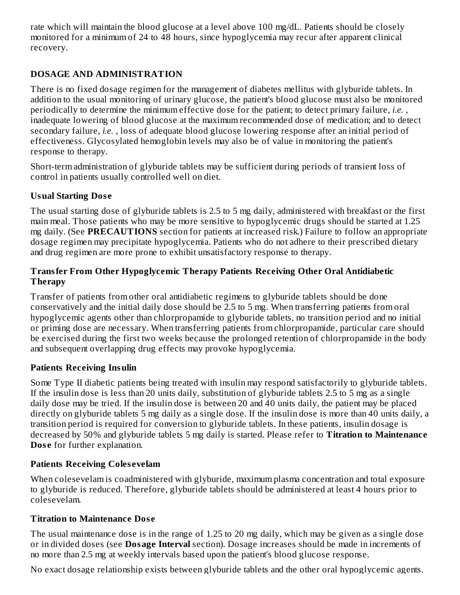rate which will maintain the blood glucose at a level above 100 mg/dL. Patients should be closely monitored for a minimum of 24 to 48 hours, since hypoglycemia may recur after apparent clinical recovery.

# **DOSAGE AND ADMINISTRATION**

There is no fixed dosage regimen for the management of diabetes mellitus with glyburide tablets. In addition to the usual monitoring of urinary glucose, the patient's blood glucose must also be monitored periodically to determine the minimum effective dose for the patient; to detect primary failure, *i.e.* , inadequate lowering of blood glucose at the maximum recommended dose of medication; and to detect secondary failure, *i.e.* , loss of adequate blood glucose lowering response after an initial period of effectiveness. Glycosylated hemoglobin levels may also be of value in monitoring the patient's response to therapy.

Short-term administration of glyburide tablets may be sufficient during periods of transient loss of control in patients usually controlled well on diet.

## **Usual Starting Dos e**

The usual starting dose of glyburide tablets is 2.5 to 5 mg daily, administered with breakfast or the first main meal. Those patients who may be more sensitive to hypoglycemic drugs should be started at 1.25 mg daily. (See **PRECAUTIONS** section for patients at increased risk.) Failure to follow an appropriate dosage regimen may precipitate hypoglycemia. Patients who do not adhere to their prescribed dietary and drug regimen are more prone to exhibit unsatisfactory response to therapy.

#### **Transfer From Other Hypoglycemic Therapy Patients Receiving Other Oral Antidiabetic Therapy**

Transfer of patients from other oral antidiabetic regimens to glyburide tablets should be done conservatively and the initial daily dose should be 2.5 to 5 mg. When transferring patients from oral hypoglycemic agents other than chlorpropamide to glyburide tablets, no transition period and no initial or priming dose are necessary. When transferring patients from chlorpropamide, particular care should be exercised during the first two weeks because the prolonged retention of chlorpropamide in the body and subsequent overlapping drug effects may provoke hypoglycemia.

## **Patients Receiving Insulin**

Some Type II diabetic patients being treated with insulin may respond satisfactorily to glyburide tablets. If the insulin dose is less than 20 units daily, substitution of glyburide tablets 2.5 to 5 mg as a single daily dose may be tried. If the insulin dose is between 20 and 40 units daily, the patient may be placed directly on glyburide tablets 5 mg daily as a single dose. If the insulin dose is more than 40 units daily, a transition period is required for conversion to glyburide tablets. In these patients, insulin dosage is decreased by 50% and glyburide tablets 5 mg daily is started. Please refer to **Titration to Maintenance Dose** for further explanation.

## **Patients Receiving Coles evelam**

When colesevelam is coadministered with glyburide, maximum plasma concentration and total exposure to glyburide is reduced. Therefore, glyburide tablets should be administered at least 4 hours prior to colesevelam.

#### **Titration to Maintenance Dos e**

The usual maintenance dose is in the range of 1.25 to 20 mg daily, which may be given as a single dose or in divided doses (see **Dosage Interval** section). Dosage increases should be made in increments of no more than 2.5 mg at weekly intervals based upon the patient's blood glucose response.

No exact dosage relationship exists between glyburide tablets and the other oral hypoglycemic agents.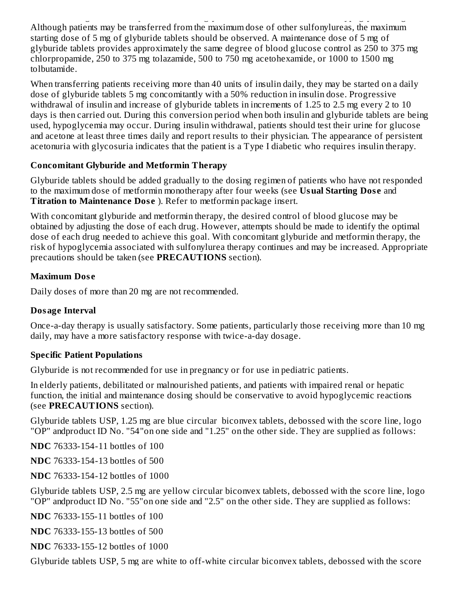No exact dosage relationship exists between glyburide tablets and the other oral hypoglycemic agents. Although patients may be transferred from the maximum dose of other sulfonylureas, the maximum starting dose of 5 mg of glyburide tablets should be observed. A maintenance dose of 5 mg of glyburide tablets provides approximately the same degree of blood glucose control as 250 to 375 mg chlorpropamide, 250 to 375 mg tolazamide, 500 to 750 mg acetohexamide, or 1000 to 1500 mg tolbutamide.

When transferring patients receiving more than 40 units of insulin daily, they may be started on a daily dose of glyburide tablets 5 mg concomitantly with a 50% reduction in insulin dose. Progressive withdrawal of insulin and increase of glyburide tablets in increments of 1.25 to 2.5 mg every 2 to 10 days is then carried out. During this conversion period when both insulin and glyburide tablets are being used, hypoglycemia may occur. During insulin withdrawal, patients should test their urine for glucose and acetone at least three times daily and report results to their physician. The appearance of persistent acetonuria with glycosuria indicates that the patient is a Type I diabetic who requires insulin therapy.

## **Concomitant Glyburide and Metformin Therapy**

Glyburide tablets should be added gradually to the dosing regimen of patients who have not responded to the maximum dose of metformin monotherapy after four weeks (see **Usual Starting Dos e** and **Titration to Maintenance Dos e** ). Refer to metformin package insert.

With concomitant glyburide and metformin therapy, the desired control of blood glucose may be obtained by adjusting the dose of each drug. However, attempts should be made to identify the optimal dose of each drug needed to achieve this goal. With concomitant glyburide and metformin therapy, the risk of hypoglycemia associated with sulfonylurea therapy continues and may be increased. Appropriate precautions should be taken (see **PRECAUTIONS** section).

#### **Maximum Dos e**

Daily doses of more than 20 mg are not recommended.

## **Dosage Interval**

Once-a-day therapy is usually satisfactory. Some patients, particularly those receiving more than 10 mg daily, may have a more satisfactory response with twice-a-day dosage.

## **Specific Patient Populations**

Glyburide is not recommended for use in pregnancy or for use in pediatric patients.

In elderly patients, debilitated or malnourished patients, and patients with impaired renal or hepatic function, the initial and maintenance dosing should be conservative to avoid hypoglycemic reactions (see **PRECAUTIONS** section).

Glyburide tablets USP, 1.25 mg are blue circular biconvex tablets, debossed with the score line, logo "OP" andproduct ID No. "54"on one side and "1.25" on the other side. They are supplied as follows:

**NDC** 76333-154-11 bottles of 100

**NDC** 76333-154-13 bottles of 500

**NDC** 76333-154-12 bottles of 1000

Glyburide tablets USP, 2.5 mg are yellow circular biconvex tablets, debossed with the score line, logo "OP" andproduct ID No. "55"on one side and "2.5" on the other side. They are supplied as follows:

**NDC** 76333-155-11 bottles of 100

**NDC** 76333-155-13 bottles of 500

**NDC** 76333-155-12 bottles of 1000

Glyburide tablets USP, 5 mg are white to off-white circular biconvex tablets, debossed with the score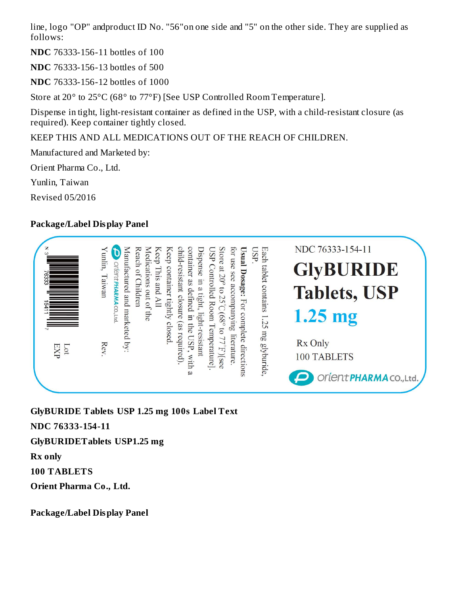line, logo "OP" andproduct ID No. "56"on one side and "5" on the other side. They are supplied as follows:

**NDC** 76333-156-11 bottles of 100

**NDC** 76333-156-13 bottles of 500

**NDC** 76333-156-12 bottles of 1000

Store at 20° to 25°C (68° to 77°F) [See USP Controlled Room Temperature].

Dispense in tight, light-resistant container as defined in the USP, with a child-resistant closure (as required). Keep container tightly closed.

KEEP THIS AND ALL MEDICATIONS OUT OF THE REACH OF CHILDREN.

Manufactured and Marketed by:

Orient Pharma Co., Ltd.

Yunlin, Taiwan

Revised 05/2016

# **Package/Label Display Panel**



**GlyBURIDE Tablets USP 1.25 mg 100s Label Text NDC 76333-154-11 GlyBURIDETablets USP1.25 mg Rx only**

**100 TABLETS**

**Orient Pharma Co., Ltd.**

**Package/Label Display Panel**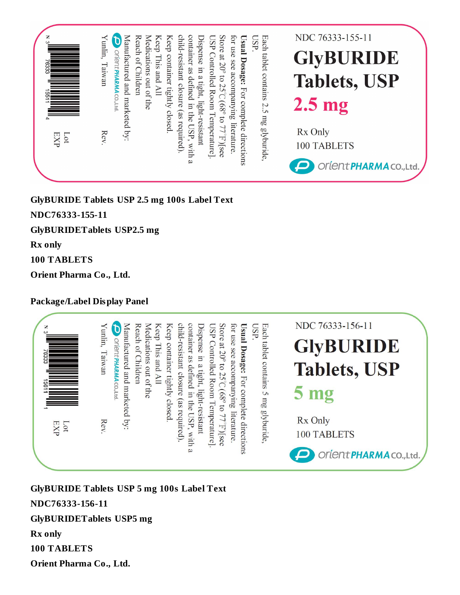

**GlyBURIDE Tablets USP 2.5 mg 100s Label Text**

**NDC76333-155-11**

**GlyBURIDETablets USP2.5 mg**

**Rx only**

**100 TABLETS**

**Orient Pharma Co., Ltd.**

#### **Package/Label Display Panel**



**GlyBURIDE Tablets USP 5 mg 100s Label Text NDC76333-156-11 GlyBURIDETablets USP5 mg Rx only 100 TABLETS Orient Pharma Co., Ltd.**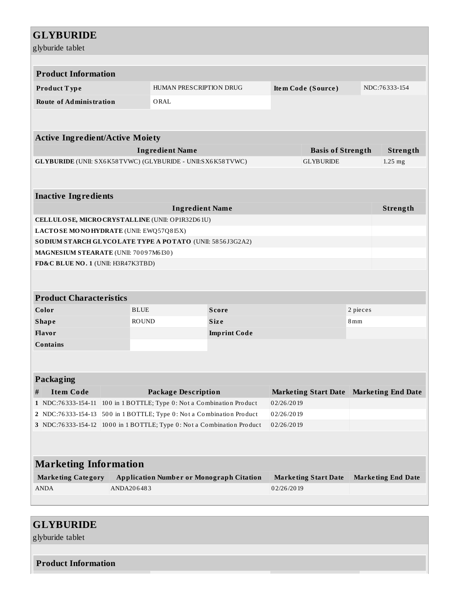| <b>GLYBURIDE</b><br>glyburide tablet                                                                        |                                                                       |              |              |                                                           |                           |                          |                             |           |
|-------------------------------------------------------------------------------------------------------------|-----------------------------------------------------------------------|--------------|--------------|-----------------------------------------------------------|---------------------------|--------------------------|-----------------------------|-----------|
|                                                                                                             |                                                                       |              |              |                                                           |                           |                          |                             |           |
| <b>Product Information</b>                                                                                  |                                                                       |              |              |                                                           |                           |                          |                             |           |
| Product Type<br>HUMAN PRESCRIPTION DRUG                                                                     |                                                                       |              |              | Item Code (Source)                                        |                           | NDC:76333-154            |                             |           |
| <b>Route of Administration</b><br>ORAL                                                                      |                                                                       |              |              |                                                           |                           |                          |                             |           |
|                                                                                                             |                                                                       |              |              |                                                           |                           |                          |                             |           |
|                                                                                                             |                                                                       |              |              |                                                           |                           |                          |                             |           |
| <b>Active Ingredient/Active Moiety</b>                                                                      |                                                                       |              |              |                                                           |                           |                          |                             |           |
| <b>Ingredient Name</b>                                                                                      |                                                                       |              |              |                                                           |                           | <b>Basis of Strength</b> |                             | Strength  |
| GLYBURIDE (UNII: SX6K58TVWC) (GLYBURIDE - UNII:SX6K58TVWC)                                                  |                                                                       |              |              |                                                           |                           | <b>GLYBURIDE</b>         |                             | $1.25$ mg |
|                                                                                                             |                                                                       |              |              |                                                           |                           |                          |                             |           |
|                                                                                                             |                                                                       |              |              |                                                           |                           |                          |                             |           |
| <b>Inactive Ingredients</b>                                                                                 |                                                                       |              |              |                                                           |                           |                          |                             |           |
|                                                                                                             |                                                                       |              |              | <b>Ingredient Name</b>                                    |                           |                          |                             | Strength  |
| CELLULOSE, MICRO CRYSTALLINE (UNII: OP1R32D61U)                                                             |                                                                       |              |              |                                                           |                           |                          |                             |           |
| LACTOSE MONOHYDRATE (UNII: EWQ57Q8I5X)                                                                      |                                                                       |              |              |                                                           |                           |                          |                             |           |
| SO DIUM STARCH GLYCOLATE TYPE A POTATO (UNII: 5856J3G2A2)                                                   |                                                                       |              |              |                                                           |                           |                          |                             |           |
| MAGNESIUM STEARATE (UNII: 70097M6I30)                                                                       |                                                                       |              |              |                                                           |                           |                          |                             |           |
| FD&C BLUE NO. 1 (UNII: H3R47K3TBD)                                                                          |                                                                       |              |              |                                                           |                           |                          |                             |           |
|                                                                                                             |                                                                       |              |              |                                                           |                           |                          |                             |           |
| <b>Product Characteristics</b>                                                                              |                                                                       |              |              |                                                           |                           |                          |                             |           |
| Color                                                                                                       | <b>BLUE</b>                                                           |              | <b>Score</b> |                                                           |                           |                          |                             |           |
| <b>Shape</b>                                                                                                |                                                                       | <b>ROUND</b> |              | <b>Size</b>                                               |                           |                          | 2 pieces<br>8 <sub>mm</sub> |           |
| Flavor                                                                                                      |                                                                       |              |              | <b>Imprint Code</b>                                       |                           |                          |                             |           |
| <b>Contains</b>                                                                                             |                                                                       |              |              |                                                           |                           |                          |                             |           |
|                                                                                                             |                                                                       |              |              |                                                           |                           |                          |                             |           |
|                                                                                                             |                                                                       |              |              |                                                           |                           |                          |                             |           |
| <b>Packaging</b>                                                                                            |                                                                       |              |              |                                                           |                           |                          |                             |           |
| <b>Item Code</b><br>#                                                                                       |                                                                       |              |              | <b>Package Description</b><br><b>Marketing Start Date</b> |                           |                          | <b>Marketing End Date</b>   |           |
|                                                                                                             | 1 NDC:76333-154-11 100 in 1 BOTTLE; Type 0: Not a Combination Product |              |              |                                                           | 02/26/2019                |                          |                             |           |
| 2 NDC:76333-154-13                                                                                          | 500 in 1 BOTTLE; Type 0: Not a Combination Product                    |              |              |                                                           | 02/26/2019                |                          |                             |           |
| 1000 in 1 BOTTLE; Type 0: Not a Combination Product<br>3 NDC:76333-154-12                                   |                                                                       |              |              | 02/26/2019                                                |                           |                          |                             |           |
|                                                                                                             |                                                                       |              |              |                                                           |                           |                          |                             |           |
|                                                                                                             |                                                                       |              |              |                                                           |                           |                          |                             |           |
| <b>Marketing Information</b>                                                                                |                                                                       |              |              |                                                           |                           |                          |                             |           |
| <b>Marketing Category</b><br><b>Application Number or Monograph Citation</b><br><b>Marketing Start Date</b> |                                                                       |              |              |                                                           | <b>Marketing End Date</b> |                          |                             |           |
| <b>ANDA</b>                                                                                                 | ANDA206483                                                            |              |              |                                                           | 02/26/2019                |                          |                             |           |
|                                                                                                             |                                                                       |              |              |                                                           |                           |                          |                             |           |
|                                                                                                             |                                                                       |              |              |                                                           |                           |                          |                             |           |
| <b><i>ITOIDIDE</i></b>                                                                                      |                                                                       |              |              |                                                           |                           |                          |                             |           |

# **GLYBURIDE**

glyburide tablet

#### **Product Information**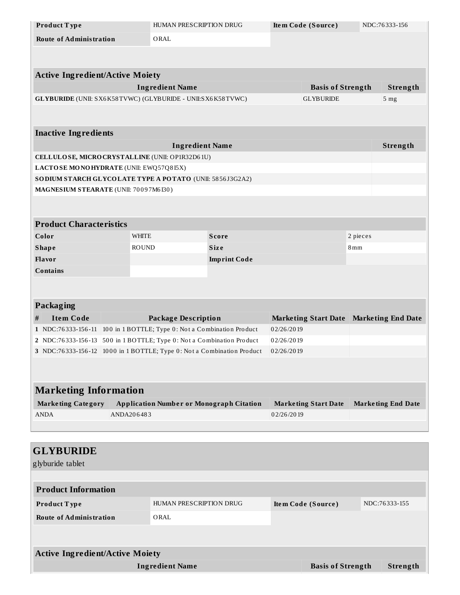|                                                                                   | <b>HUMAN PRESCRIPTION DRUG</b><br>Product Type                                 |            |                                                          | Item Code (Source)  |                             | NDC:76333-156 |                           |  |
|-----------------------------------------------------------------------------------|--------------------------------------------------------------------------------|------------|----------------------------------------------------------|---------------------|-----------------------------|---------------|---------------------------|--|
| <b>Route of Administration</b>                                                    |                                                                                |            | ORAL                                                     |                     |                             |               |                           |  |
|                                                                                   |                                                                                |            |                                                          |                     |                             |               |                           |  |
|                                                                                   |                                                                                |            |                                                          |                     |                             |               |                           |  |
|                                                                                   | <b>Active Ingredient/Active Moiety</b>                                         |            |                                                          |                     |                             |               |                           |  |
| <b>Ingredient Name</b><br><b>Basis of Strength</b>                                |                                                                                |            |                                                          |                     |                             |               | Strength                  |  |
|                                                                                   |                                                                                |            |                                                          |                     |                             |               | 5 <sub>mg</sub>           |  |
|                                                                                   | GLYBURIDE (UNII: SX6K58TVWC) (GLYBURIDE - UNII:SX6K58TVWC)<br><b>GLYBURIDE</b> |            |                                                          |                     |                             |               |                           |  |
|                                                                                   |                                                                                |            |                                                          |                     |                             |               |                           |  |
|                                                                                   | <b>Inactive Ingredients</b>                                                    |            |                                                          |                     |                             |               |                           |  |
| <b>Ingredient Name</b>                                                            |                                                                                |            |                                                          |                     |                             |               | Strength                  |  |
|                                                                                   |                                                                                |            | CELLULOSE, MICRO CRYSTALLINE (UNII: OP1R32D61U)          |                     |                             |               |                           |  |
|                                                                                   | LACTOSE MONOHYDRATE (UNII: EWQ57Q8I5X)                                         |            |                                                          |                     |                             |               |                           |  |
|                                                                                   |                                                                                |            | SODIUM STARCH GLYCOLATE TYPE A POTATO (UNII: 5856J3G2A2) |                     |                             |               |                           |  |
|                                                                                   | MAGNESIUM STEARATE (UNII: 70097M6I30)                                          |            |                                                          |                     |                             |               |                           |  |
|                                                                                   |                                                                                |            |                                                          |                     |                             |               |                           |  |
|                                                                                   |                                                                                |            |                                                          |                     |                             |               |                           |  |
|                                                                                   | <b>Product Characteristics</b>                                                 |            |                                                          |                     |                             |               |                           |  |
|                                                                                   | Color                                                                          |            | <b>WHITE</b>                                             | <b>Score</b>        |                             | 2 pieces      |                           |  |
|                                                                                   | <b>Shape</b>                                                                   |            | <b>ROUND</b>                                             | Size                |                             |               | 8mm                       |  |
|                                                                                   | Flavor                                                                         |            |                                                          | <b>Imprint Code</b> |                             |               |                           |  |
| <b>Contains</b>                                                                   |                                                                                |            |                                                          |                     |                             |               |                           |  |
|                                                                                   |                                                                                |            |                                                          |                     |                             |               |                           |  |
|                                                                                   |                                                                                |            |                                                          |                     |                             |               |                           |  |
|                                                                                   | Packaging                                                                      |            |                                                          |                     |                             |               |                           |  |
| #                                                                                 | <b>Item Code</b>                                                               |            | <b>Package Description</b>                               |                     | <b>Marketing Start Date</b> |               | <b>Marketing End Date</b> |  |
|                                                                                   | 1 NDC:76333-156-11 100 in 1 BOTTLE; Type 0: Not a Combination Product          |            |                                                          |                     |                             |               |                           |  |
|                                                                                   | 2 NDC:76333-156-13 500 in 1 BOTTLE; Type 0: Not a Combination Product          |            |                                                          |                     | 02/26/2019                  |               |                           |  |
| 3 NDC:76333-156-12 1000 in 1 BOTTLE; Type 0: Not a Combination Product 02/26/2019 |                                                                                |            |                                                          |                     | 02/26/2019                  |               |                           |  |
|                                                                                   |                                                                                |            |                                                          |                     |                             |               |                           |  |
|                                                                                   |                                                                                |            |                                                          |                     |                             |               |                           |  |
|                                                                                   |                                                                                |            |                                                          |                     |                             |               |                           |  |
|                                                                                   | <b>Marketing Information</b>                                                   |            |                                                          |                     |                             |               |                           |  |
|                                                                                   | <b>Marketing Category</b>                                                      |            | <b>Application Number or Monograph Citation</b>          |                     | <b>Marketing Start Date</b> |               | <b>Marketing End Date</b> |  |
|                                                                                   | <b>ANDA</b>                                                                    | ANDA206483 |                                                          |                     | 02/26/2019                  |               |                           |  |
|                                                                                   |                                                                                |            |                                                          |                     |                             |               |                           |  |
|                                                                                   |                                                                                |            |                                                          |                     |                             |               |                           |  |
|                                                                                   | <b>GLYBURIDE</b>                                                               |            |                                                          |                     |                             |               |                           |  |
|                                                                                   | glyburide tablet                                                               |            |                                                          |                     |                             |               |                           |  |
|                                                                                   |                                                                                |            |                                                          |                     |                             |               |                           |  |
|                                                                                   | <b>Product Information</b>                                                     |            |                                                          |                     |                             |               |                           |  |
|                                                                                   |                                                                                |            |                                                          |                     |                             |               |                           |  |
|                                                                                   | Product Type                                                                   |            | HUMAN PRESCRIPTION DRUG                                  |                     | Item Code (Source)          |               | NDC:76333-155             |  |
|                                                                                   | <b>Route of Administration</b>                                                 |            | ORAL                                                     |                     |                             |               |                           |  |

| Active Ingredient/Active Moiety |                          |          |  |  |  |
|---------------------------------|--------------------------|----------|--|--|--|
| Ingredient Name                 | <b>Basis of Strength</b> | Strength |  |  |  |